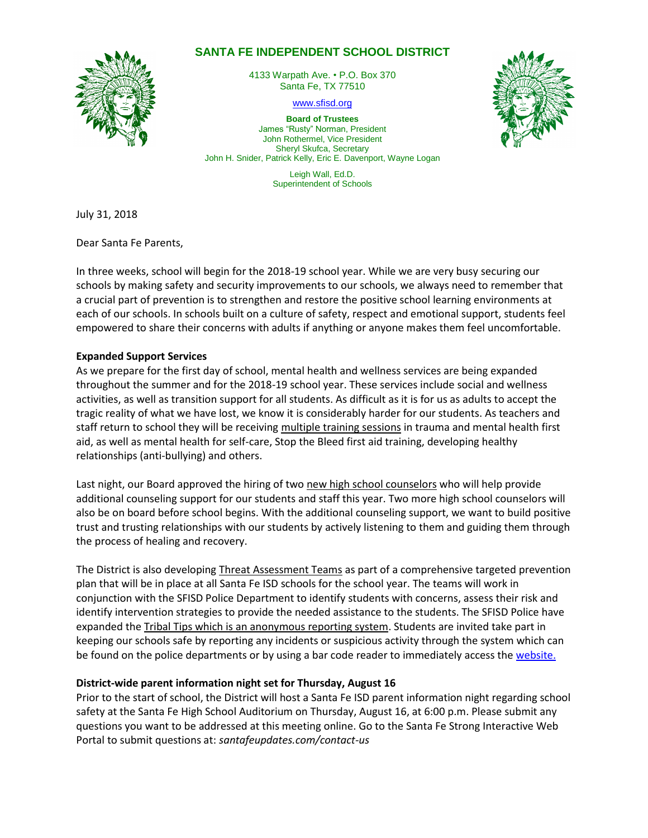# **SANTA FE INDEPENDENT SCHOOL DISTRICT**



4133 Warpath Ave. • P.O. Box 370 Santa Fe, TX 77510

[www.sfisd.org](http://www.sfisd.org/)

**Board of Trustees** James "Rusty" Norman, President John Rothermel, Vice President Sheryl Skufca, Secretary John H. Snider, Patrick Kelly, Eric E. Davenport, Wayne Logan

> Leigh Wall, Ed.D. Superintendent of Schools



Dear Santa Fe Parents,

In three weeks, school will begin for the 2018-19 school year. While we are very busy securing our schools by making safety and security improvements to our schools, we always need to remember that a crucial part of prevention is to strengthen and restore the positive school learning environments at each of our schools. In schools built on a culture of safety, respect and emotional support, students feel empowered to share their concerns with adults if anything or anyone makes them feel uncomfortable.

## **Expanded Support Services**

As we prepare for the first day of school, mental health and wellness services are being expanded throughout the summer and for the 2018-19 school year. These services include social and wellness activities, as well as transition support for all students. As difficult as it is for us as adults to accept the tragic reality of what we have lost, we know it is considerably harder for our students. As teachers and staff return to school they will be receiving multiple training sessions in trauma and mental health first aid, as well as mental health for self-care, Stop the Bleed first aid training, developing healthy relationships (anti-bullying) and others.

Last night, our Board approved the hiring of two new high school counselors who will help provide additional counseling support for our students and staff this year. Two more high school counselors will also be on board before school begins. With the additional counseling support, we want to build positive trust and trusting relationships with our students by actively listening to them and guiding them through the process of healing and recovery.

The District is also developing Threat Assessment Teams as part of a comprehensive targeted prevention plan that will be in place at all Santa Fe ISD schools for the school year. The teams will work in conjunction with the SFISD Police Department to identify students with concerns, assess their risk and identify intervention strategies to provide the needed assistance to the students. The SFISD Police have expanded the Tribal Tips which is an anonymous reporting system. Students are invited take part in keeping our schools safe by reporting any incidents or suspicious activity through the system which can be found on the police departments or by using a bar code reader to immediately access th[e website.](https://www.sfisd.org/Domain/32)

## **District-wide parent information night set for Thursday, August 16**

Prior to the start of school, the District will host a Santa Fe ISD parent information night regarding school safety at the Santa Fe High School Auditorium on Thursday, August 16, at 6:00 p.m. Please submit any questions you want to be addressed at this meeting online. Go to the Santa Fe Strong Interactive Web Portal to submit questions at: *santafeupdates.com/contact-us*

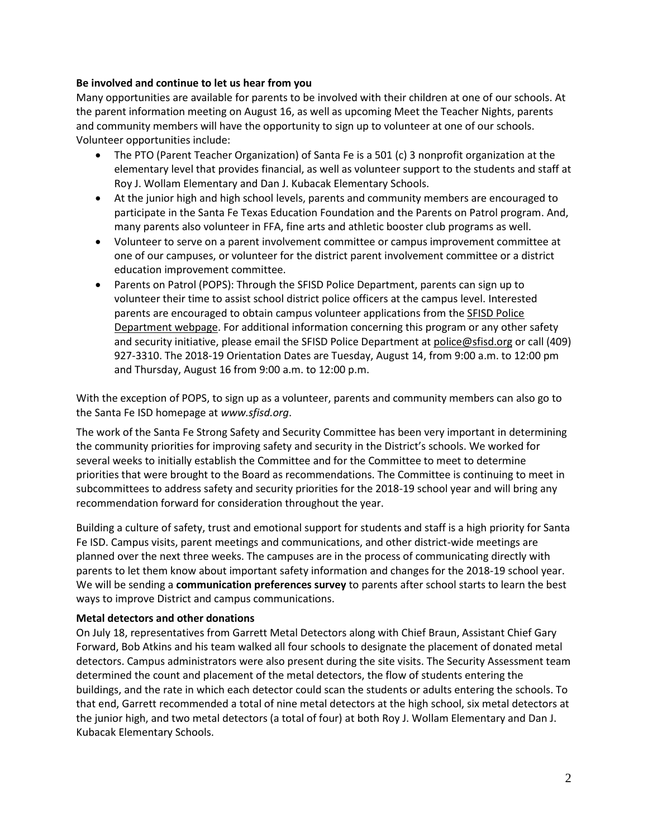#### **Be involved and continue to let us hear from you**

Many opportunities are available for parents to be involved with their children at one of our schools. At the parent information meeting on August 16, as well as upcoming Meet the Teacher Nights, parents and community members will have the opportunity to sign up to volunteer at one of our schools. Volunteer opportunities include:

- The PTO (Parent Teacher Organization) of Santa Fe is a 501 (c) 3 nonprofit organization at the elementary level that provides financial, as well as volunteer support to the students and staff at Roy J. Wollam Elementary and Dan J. Kubacak Elementary Schools.
- At the junior high and high school levels, parents and community members are encouraged to participate in the Santa Fe Texas Education Foundation and the [Parents on Patrol](https://tx02215329.schoolwires.net/Page/294) program. And, many parents also volunteer in FFA, fine arts and athletic booster club programs as well.
- Volunteer to serve on a parent involvement committee or campus improvement committee at one of our campuses, or volunteer for the district parent involvement committee or a district education improvement committee.
- Parents on Patrol (POPS): Through the SFISD Police Department, parents can sign up to volunteer their time to assist school district police officers at the campus level. Interested parents are encouraged to obtain campus volunteer applications from th[e SFISD Police](https://www.sfisd.org/Page/294)  [Department webpage.](https://www.sfisd.org/Page/294) For additional information concerning this program or any other safety and security initiative, please email the SFISD Police Department at [police@sfisd.org](mailto:police@sfisd.org) or call (409) 927-3310. The 2018-19 Orientation Dates are Tuesday, August 14, from 9:00 a.m. to 12:00 pm and Thursday, August 16 from 9:00 a.m. to 12:00 p.m.

With the exception of POPS, to sign up as a volunteer, parents and community members can also go to the Santa Fe ISD homepage at *www.sfisd.org*.

The work of the Santa Fe Strong Safety and Security Committee has been very important in determining the community priorities for improving safety and security in the District's schools. We worked for several weeks to initially establish the Committee and for the Committee to meet to determine priorities that were brought to the Board as recommendations. The Committee is continuing to meet in subcommittees to address safety and security priorities for the 2018-19 school year and will bring any recommendation forward for consideration throughout the year.

Building a culture of safety, trust and emotional support for students and staff is a high priority for Santa Fe ISD. Campus visits, parent meetings and communications, and other district-wide meetings are planned over the next three weeks. The campuses are in the process of communicating directly with parents to let them know about important safety information and changes for the 2018-19 school year. We will be sending a **communication preferences survey** to parents after school starts to learn the best ways to improve District and campus communications.

#### **Metal detectors and other donations**

On July 18, representatives from Garrett Metal Detectors along with Chief Braun, Assistant Chief Gary Forward, Bob Atkins and his team walked all four schools to designate the placement of donated metal detectors. Campus administrators were also present during the site visits. The Security Assessment team determined the count and placement of the metal detectors, the flow of students entering the buildings, and the rate in which each detector could scan the students or adults entering the schools. To that end, Garrett recommended a total of nine metal detectors at the high school, six metal detectors at the junior high, and two metal detectors (a total of four) at both Roy J. Wollam Elementary and Dan J. Kubacak Elementary Schools.